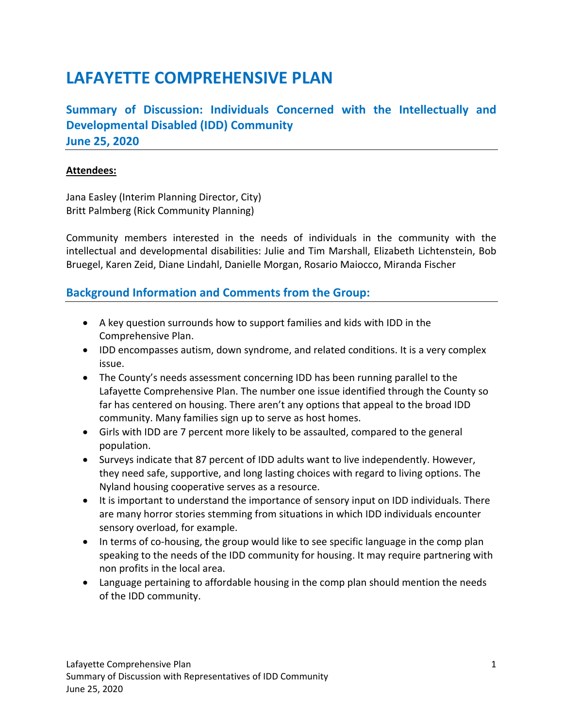## **LAFAYETTE COMPREHENSIVE PLAN**

**Summary of Discussion: Individuals Concerned with the Intellectually and Developmental Disabled (IDD) Community June 25, 2020** 

## **Attendees:**

Jana Easley (Interim Planning Director, City) Britt Palmberg (Rick Community Planning)

Community members interested in the needs of individuals in the community with the intellectual and developmental disabilities: Julie and Tim Marshall, Elizabeth Lichtenstein, Bob Bruegel, Karen Zeid, Diane Lindahl, Danielle Morgan, Rosario Maiocco, Miranda Fischer

## **Background Information and Comments from the Group:**

- A key question surrounds how to support families and kids with IDD in the Comprehensive Plan.
- IDD encompasses autism, down syndrome, and related conditions. It is a very complex issue.
- The County's needs assessment concerning IDD has been running parallel to the Lafayette Comprehensive Plan. The number one issue identified through the County so far has centered on housing. There aren't any options that appeal to the broad IDD community. Many families sign up to serve as host homes.
- Girls with IDD are 7 percent more likely to be assaulted, compared to the general population.
- Surveys indicate that 87 percent of IDD adults want to live independently. However, they need safe, supportive, and long lasting choices with regard to living options. The Nyland housing cooperative serves as a resource.
- It is important to understand the importance of sensory input on IDD individuals. There are many horror stories stemming from situations in which IDD individuals encounter sensory overload, for example.
- In terms of co-housing, the group would like to see specific language in the comp plan speaking to the needs of the IDD community for housing. It may require partnering with non profits in the local area.
- Language pertaining to affordable housing in the comp plan should mention the needs of the IDD community.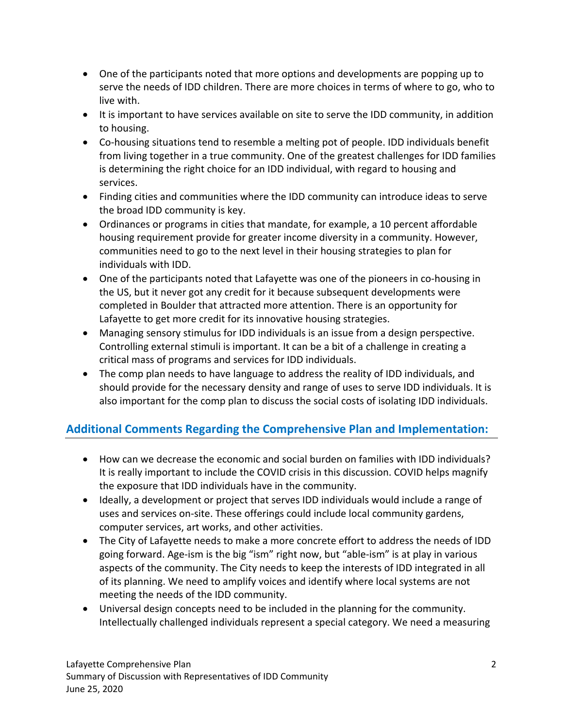- One of the participants noted that more options and developments are popping up to serve the needs of IDD children. There are more choices in terms of where to go, who to live with.
- It is important to have services available on site to serve the IDD community, in addition to housing.
- Co-housing situations tend to resemble a melting pot of people. IDD individuals benefit from living together in a true community. One of the greatest challenges for IDD families is determining the right choice for an IDD individual, with regard to housing and services.
- Finding cities and communities where the IDD community can introduce ideas to serve the broad IDD community is key.
- Ordinances or programs in cities that mandate, for example, a 10 percent affordable housing requirement provide for greater income diversity in a community. However, communities need to go to the next level in their housing strategies to plan for individuals with IDD.
- One of the participants noted that Lafayette was one of the pioneers in co-housing in the US, but it never got any credit for it because subsequent developments were completed in Boulder that attracted more attention. There is an opportunity for Lafayette to get more credit for its innovative housing strategies.
- Managing sensory stimulus for IDD individuals is an issue from a design perspective. Controlling external stimuli is important. It can be a bit of a challenge in creating a critical mass of programs and services for IDD individuals.
- The comp plan needs to have language to address the reality of IDD individuals, and should provide for the necessary density and range of uses to serve IDD individuals. It is also important for the comp plan to discuss the social costs of isolating IDD individuals.

## **Additional Comments Regarding the Comprehensive Plan and Implementation:**

- How can we decrease the economic and social burden on families with IDD individuals? It is really important to include the COVID crisis in this discussion. COVID helps magnify the exposure that IDD individuals have in the community.
- Ideally, a development or project that serves IDD individuals would include a range of uses and services on‐site. These offerings could include local community gardens, computer services, art works, and other activities.
- The City of Lafayette needs to make a more concrete effort to address the needs of IDD going forward. Age‐ism is the big "ism" right now, but "able‐ism" is at play in various aspects of the community. The City needs to keep the interests of IDD integrated in all of its planning. We need to amplify voices and identify where local systems are not meeting the needs of the IDD community.
- Universal design concepts need to be included in the planning for the community. Intellectually challenged individuals represent a special category. We need a measuring